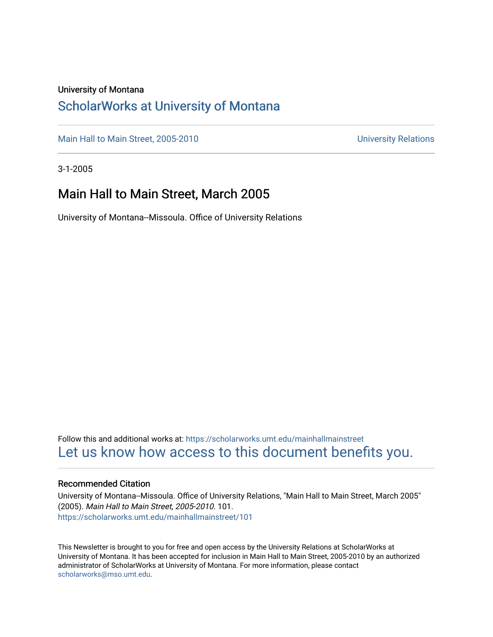#### University of Montana

### [ScholarWorks at University of Montana](https://scholarworks.umt.edu/)

[Main Hall to Main Street, 2005-2010](https://scholarworks.umt.edu/mainhallmainstreet) Main Hall to Main Street, 2005-2010

3-1-2005

### Main Hall to Main Street, March 2005

University of Montana--Missoula. Office of University Relations

Follow this and additional works at: [https://scholarworks.umt.edu/mainhallmainstreet](https://scholarworks.umt.edu/mainhallmainstreet?utm_source=scholarworks.umt.edu%2Fmainhallmainstreet%2F101&utm_medium=PDF&utm_campaign=PDFCoverPages) [Let us know how access to this document benefits you.](https://goo.gl/forms/s2rGfXOLzz71qgsB2) 

#### Recommended Citation

University of Montana--Missoula. Office of University Relations, "Main Hall to Main Street, March 2005" (2005). Main Hall to Main Street, 2005-2010. 101. [https://scholarworks.umt.edu/mainhallmainstreet/101](https://scholarworks.umt.edu/mainhallmainstreet/101?utm_source=scholarworks.umt.edu%2Fmainhallmainstreet%2F101&utm_medium=PDF&utm_campaign=PDFCoverPages)

This Newsletter is brought to you for free and open access by the University Relations at ScholarWorks at University of Montana. It has been accepted for inclusion in Main Hall to Main Street, 2005-2010 by an authorized administrator of ScholarWorks at University of Montana. For more information, please contact [scholarworks@mso.umt.edu.](mailto:scholarworks@mso.umt.edu)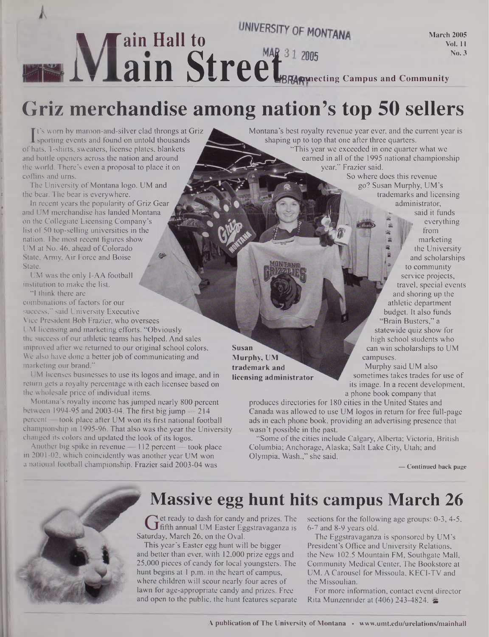

# **Griz merchandise among nation's top 50 sellers**

**I** sporting events and found on untold thousands<br>hats. T-shirts, sweaters, license plates, blankets It's worn by maroon-and-silver clad throngs at Griz ofhats, T-shirts, sweaters, license plates, blankets and bottle openers across the nation and around the world. There's even a proposal to place it on coffins and urns.

The University of Montana logo. UM and the bear. The bear is everywhere.

In recent years the popularity of Griz Gear and UM merchandise has landed Montana on the Collegiate Licensing Company's list of 50 top-selling universities in the nation. The most recent figures show UM at No. 46, ahead of Colorado State, Army, Air Force and Boise State.

UM was the only I-AA football institution to make the list.

"I think there are

combinations of factors for our success," said University Executive Vice President Bob Frazier, who oversees UM licensing and marketing efforts. "Obviously the success of our athletic teams has helped. And sales improved after we returned to our original school colors. We also have done a better job of communicating and

marketing our brand." UM licenses businesses to use its logos and image, and in return gets a royalty percentage with each licensee based on the wholesale price of individual items.

Montana's royalty income has jumped nearly 800 percent between 1994-95 and 2003-04. The first big jump — 214 percent — took place after UM won its first national football championship in 1995-96. That also was the year the University changed its colors and updated the look of its logos.

Another big spike in revenue — 112 percent — took place in 2001-02, which coincidently was another year UM won a national football championship. Frazier said 2003-04 was

Montana's best royalty revenue year ever, and the current year is shaping up to top that one after three quarters.

"This year we exceeded in one quarter what we earned in all of the 1995 national championship year," Frazier said.

So where does this revenue go? Susan Murphy, UM's trademarks and licensing administrator, said it funds everything

from marketing the University and scholarships to community service projects, travel, special events and shoring up the athletic department budget. It also funds Brain Busters," a statewide quiz show for high school students who can win scholarships to UM campuses.

**Murphy, UM trademark and licensing administrator**

**Susan**

 Murphy said UM also sometimes takes trades for use of its image. In a recent development, a phone book company that

produces directories for 180 cities in the United States and Canada was allowed to use UM logos in return for free full-page ads in each phone book, providing an advertising presence that wasn't possible in the past.

"Some of the cities include Calgary, Alberta; Victoria, British Columbia; Anchorage, Alaska; Salt Lake City, Utah; and Olympia, Wash.," she said.

**— Continued back page**



### **Massive egg hunt hits campus March 26**

direct ready to dash for candy and prizes. The  $J$ fifth annual UM Easter Eggstravaganza is Saturday, March 26, on the Oval.

This year's Easter egg hunt will be bigger and better than ever, with 12,000 prize eggs and 25,000 pieces of candy for local youngsters. The hunt begins at <sup>1</sup> p.m. in the heart of campus, where children will scour nearly four acres of lawn for age-appropriate candy and prizes. Free and open to the public, the hunt features separate sections for the following age groups: 0-3, 4-5, 6-7 and 8-9 years old.

The Eggstravaganza is sponsored by UM's President's Office and University Relations, the New 102.5 Mountain FM, Southgate Mall, Community Medical Center, The Bookstore at UM, A Carousel for Missoula, KECI-TV and the Missoulian.

For more information, contact event director Rita Munzenrider at (406) 243-4824. &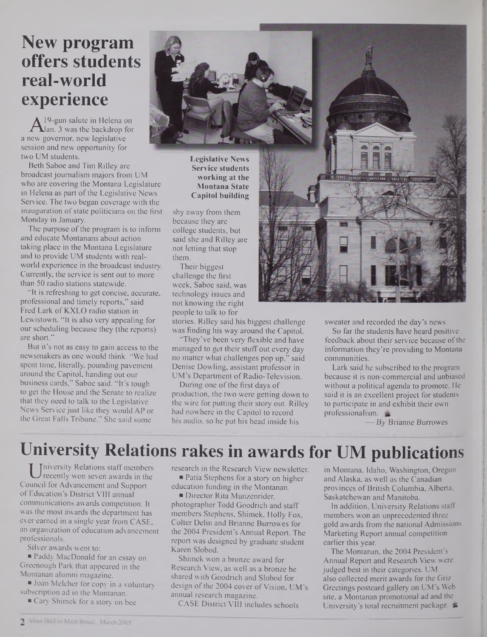## **New program offers students real-world experience**

 $A<sup>19</sup>$ -gun salute in Fielena on<br>new governor, new legislative I9-gun salute in Helena on **L**an. 3 was the backdrop for session and new opportunity for two UM students.

Beth Saboe and Tim Rilley are broadcast journalism majors from UM who are covering the Montana Legislature in Helena as part of the Legislative News Service. The two began coverage with the inauguration of state politicians on the first Monday in January.

The purpose of the program is to inform and educate Montanans about action taking place in the Montana Legislature and to provide UM students with realworld experience in the broadcast industry. Currently, the service is sent out to more than 50 radio stations statewide.

"It is refreshing to get concise, accurate, professional and timely reports," said Fred Lark of K.XLO radio station in Lewistown. "It is also very appealing for our scheduling because they (the reports) are short."

But it's not as easy to gain access to the newsmakers as one would think. "We had spent time, literally, pounding pavement around the Capitol, handing out our business cards," Saboe said. "It's tough to get the House and the Senate to realize that they need to talk to the Legislative News Service just like they would AP or the Great Falls Tribune." She said some



Legislative News Service students working at the Montana State Capitol building

shy away from them because they are college students, but said she and Rilley are not letting that stop them.

Their biggest challenge the first week, Saboe said, was technology issues and not knowing the right people to talk to for

stories. Rilley said his biggest challenge was finding his way around the Capitol.

"They've been very flexible and have managed to get their stuff out every day no matter what challenges pop up," said Denise Dowling, assistant professor in UM's Department of Radio-Television.

During one of the first days of production, the two were getting down to the wire for putting their story out. Rilley had nowhere in the Capitol to record his audio, so he put his head inside his



sweater and recorded the day's news.

So far the students have heard positive feedback about their service because of the information they're providing to Montana communities.

Lark said he subscribed to the program because it is non-commercial and unbiased without a political agenda to promote. He said it is an excellent project for students to participate in and exhibit their own professionalism.

— By *Brianne Burrowes*

# **University Relations rakes in awards for UM publications**

U *inversity* Kelations start members<br>recently won seven awards in the<br>uncil for Advancement and Support Iniversity Relations staff members recently won seven awards in the ofEducation's District VIII annual communications awards competition. It was the most awards the department has ever earned in a single year from CASE, an organization of education advancement professionals.

Silver awards went to:

Paddy MacDonald for an essay on Greenough Park that appeared in the Montanan alumni magazine.

**Joan Melcher for copy in a voluntary** subscription ad in the Montanan.

Cary Shimek for a story on bee

research in the Research View newsletter. ■ Patia Stephens for a story on higher education funding in the Montanan.

Director Rita Munzenrider, photographer Todd Goodrich and staff members Stephens, Shimek, Holly Fox, Colter Delin and Brianne Burrowes for the 2004 President's Annual Report. The report was designed by graduate student Karen Slobod.

Shimek won a bronze award for Research View, as well as a bronze he shared with Goodrich and Slobod for design of the 2004 cover of Vision, UM's annual research magazine.

CASE District VIII includes schools

in Montana, Idaho, Washington, Oregon and Alaska, as well as the Canadian provinces of British Columbia, Alberta. Saskatchewan and Manitoba.

In addition, University Relations staff members won an unprecedented three gold awards from the national Admissions Marketing Report annual competition earlier this year.

The Montanan, the 2004 President's Annual Report and Research View were judged best in their categories. UM also collected merit awards for the Griz Greetings postcard gallery on UM's Web site, a Montanan promotional ad and the University'<sup>s</sup> total recruitment package, *s*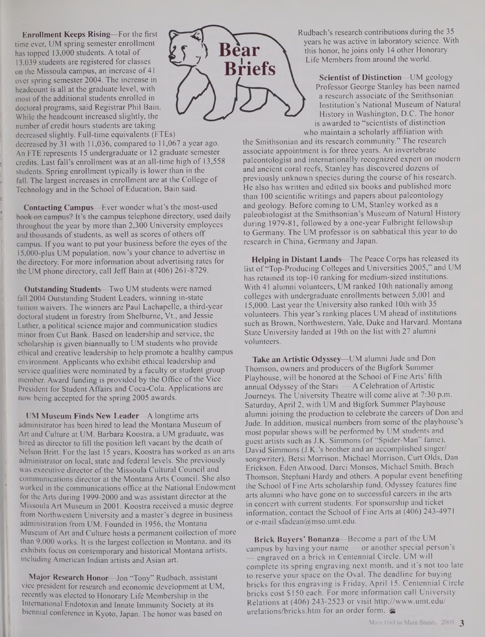**Enrollment Keeps Rising—**For the first time ever, UM spring semester enrollment has topped 13,000 students. A total of 13,039 students are registered for classes on the Missoula campus, an increase of 41 over spring semester 2004. The increase in headcount is all at the graduate level, with most of the additional students enrolled in doctoral programs, said Registrar Phil Bain. While the headcount increased slightly, the number of credit hours students are taking decreased slightly. Full-time equivalents (FTEs)

decreased by 31 with 11,036, compared to 11,067 a year ago. An FTE represents 15 undergraduate or 12 graduate semester credits. Last fall's enrollment was at an all-time high of 13,558 students. Spring enrollment typically is lower than in the fall. The largest increases in enrollment are at the College of Technology and in the School of Education, Bain said.

**Contacting Campus—**Ever wonder what's the most-used book-on campus? It's the campus telephone directory, used daily throughout the year by more than 2,300 University employees and thousands of students, as well as scores of others off campus. If you want to put your business before the eyes of the 15,000-plus UM population, now's your chance to advertise in the directory. For more information about advertising rates for the UM phone directory, call Jeff Bain at (406) 261-8729.

**Outstanding Students—**Two UM students were named fall 2004 Outstanding Student Leaders, winning in-state tuition waivers. The winners are Paul Lachapelle, a third-year doctoral student in forestry from Shelburne, Vt., and Jessie Luther, a political science major and communication studies minor from Cut Bank. Based on leadership and service, the scholarship is given biannually to UM students who provide ethical and creative leadership to help promote a healthy campus environment. Applicants who exhibit ethical leadership and service qualities were nominated by a faculty or student group member. Award funding is provided by the Office of the Vice President for Student Affairs and Coca-Cola. Applications are now being accepted for the spring 2005 awards.

**UM Museum Finds New Leader—**A longtime arts administrator has been hired to lead the Montana Museum of Art and Culture at UM. Barbara Koostra, a UM graduate, was hired as director to fill the position left vacant by the death of Nelson Britt. For the last 15 years, Koostra has worked as an arts administrator on local, state and federal levels. She previously was executive director of the Missoula Cultural Council and communications director at the Montana Arts Council. She also worked in the communications office at the National Endowment for the Arts during 1999-2000 and was assistant director at the Missoula Art Museum in 2001. Koostra received a music degree from Northwestern University and a master's degree in business administration from UM. Founded in 1956, the Montana Museum of Art and Culture hosts a permanent collection of more than 9,000 works. It is the largest collection in Montana, and its exhibits focus on contemporary and historical Montana artists, including American Indian artists and Asian art.

**Major Research Honor—**Jon "Tony" Rudbach, assistant vice president for research and economic development at UM, recently was elected to Honorary Life Membership in the International Endotoxin and Innate Immunity Society at its biennial conference in Kyoto, Japan. The honor was based on



Rudbach's research contributions during the 35 years he was active in laboratory science. With this honor, he joins only 14 other Honorary Life Members from around the world.

**Scientist of Distinction—**UM geology Professor George Stanley has been named a research associate of the Smithsonian Institution's National Museum of Natural History in Washington, D.C. The honor is awarded to "scientists of distinction who maintain a scholarly affiliation with

the Smithsonian and its research community." The research associate appointment is for three years. An invertebrate paleontologist and internationally recognized expert on modem and ancient coral reefs, Stanley has discovered dozens of previously unknown species during the course of his research. He also has written and edited six books and published more than 100 scientific writings and papers about paleontology and geology. Before coming to UM, Stanley worked as a paleobiologist at the Smithsonian's Museum of Natural History during 1979-81, followed by a one-year Fulbright fellowship to Germany. The UM professor is on sabbatical this year to do research in China, Germany and Japan.

**Helping in Distant Lands—**The Peace Corps has released its list of "Top-Producing Colleges and Universities 2005," and UM has retained its top-10 ranking for medium-sized institutions. With 41 alumni volunteers, UM ranked 10th nationally among colleges with undergraduate enrollments between 5,001 and 15,000. Last year the University also ranked 10th with 35 volunteers. This year's ranking places UM ahead of institutions such as Brown, Northwestern, Yale, Duke and Harvard. Montana State University landed at 19th on the list with 27 alumni volunteers.

**Take an Artistic Odyssey—**UM alumni Jude and Don Thomson, owners and producers of the Bigfork Summer Playhouse, will be honored at the School of Fine Arts' fifth annual Odyssey of the Stars  $-$  A Celebration of Artistic Journeys. The University Theatre will come alive at 7:30 p.m. Saturday, April 2, with UM and Bigfork Summer Playhouse alumni joining the production to celebrate the careers of Don and Jude. In addition, musical numbers from some of the playhouse's most popular shows will be performed by UM students and guest artists such as J.K. Simmons (of "Spider-Man" fame), David Simmons (J.K.'s brother and an accomplished singer/ songwriter), Betsi Morrison, Michael Morrison, Curt Olds, Dan Erickson, Eden Atwood, Darci Monsos, Michael Smith, Brach Thomson, Stephani Hardy and others. A popular event benefiting the School of Fine Arts scholarship fund, Odyssey features fine arts alumni who have gone on to successful careers in the arts in concert with current students. For sponsorship and ticket information, contact the School of Fine Arts at (406) 243-4971 or e-mail [sfadean@mso.umt.edu](mailto:sfadean@mso.umt.edu).

**Brick Buyers' Bonanza—**Become a part ofthe UM campus by having your name — or another special person's engraved on a brick in Centennial Circle. UM will complete its spring engraving next month, and it's not too late to reserve your space on the Oval. The deadline for buying bricks for this engraving is Friday, April 15. Centennial Circle bricks cost SI50 each. For more information call University Relations at (406) 243-2523 or visit <http://www.umt.edu/> urelations/bricks.htm for an order form.